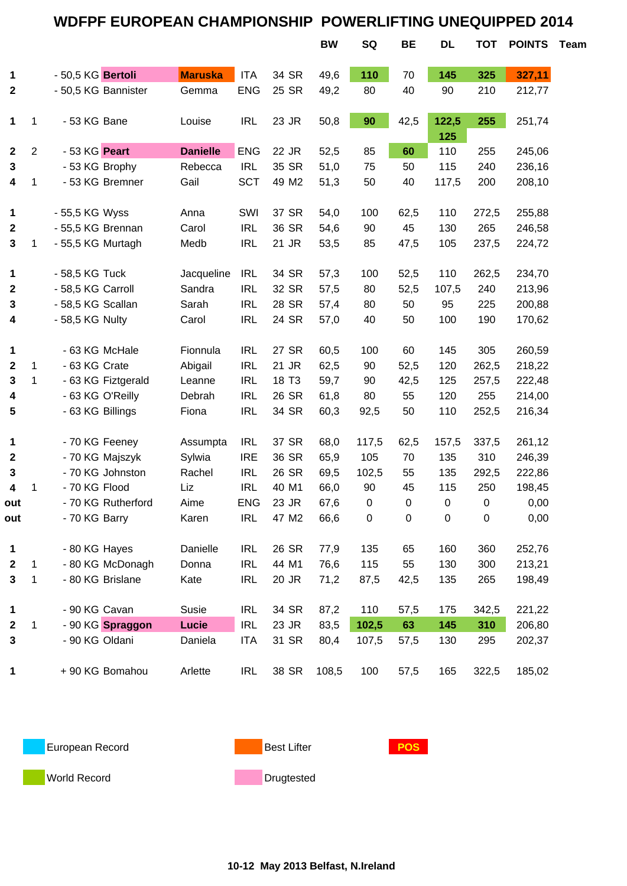## **WDFPF EUROPEAN CHAMPIONSHIP POWERLIFTING UNEQUIPPED 2014**

|                  |                |                     |                 |            |                   | <b>BW</b> | SQ             | <b>BE</b>      | <b>DL</b>      | <b>TOT</b>  | POINTS Team |  |
|------------------|----------------|---------------------|-----------------|------------|-------------------|-----------|----------------|----------------|----------------|-------------|-------------|--|
| 1                |                | - 50,5 KG Bertoli   | <b>Maruska</b>  | <b>ITA</b> | 34 SR             | 49,6      | 110            | 70             | 145            | 325         | 327,11      |  |
| $\boldsymbol{2}$ |                | - 50,5 KG Bannister | Gemma           | <b>ENG</b> | 25 SR             | 49,2      | 80             | 40             | 90             | 210         | 212,77      |  |
| 1                | $\mathbf{1}$   | - 53 KG Bane        | Louise          | <b>IRL</b> | 23 JR             | 50,8      | 90             | 42,5           | 122,5<br>125   | 255         | 251,74      |  |
| $\mathbf{2}$     | $\overline{2}$ | - 53 KG Peart       | <b>Danielle</b> | <b>ENG</b> | 22 JR             | 52,5      | 85             | 60             | 110            | 255         | 245,06      |  |
| 3                |                | - 53 KG Brophy      | Rebecca         | <b>IRL</b> | 35 SR             | 51,0      | 75             | 50             | 115            | 240         | 236,16      |  |
| 4                | 1              | - 53 KG Bremner     | Gail            | <b>SCT</b> | 49 M2             | 51,3      | 50             | 40             | 117,5          | 200         | 208,10      |  |
| 1                |                | - 55,5 KG Wyss      | Anna            | SWI        | 37 SR             | 54,0      | 100            | 62,5           | 110            | 272,5       | 255,88      |  |
| $\mathbf{2}$     |                | - 55,5 KG Brennan   | Carol           | <b>IRL</b> | 36 SR             | 54,6      | 90             | 45             | 130            | 265         | 246,58      |  |
| 3                | 1              | - 55,5 KG Murtagh   | Medb            | <b>IRL</b> | 21 JR             | 53,5      | 85             | 47,5           | 105            | 237,5       | 224,72      |  |
| 1                |                | - 58,5 KG Tuck      | Jacqueline      | <b>IRL</b> | 34 SR             | 57,3      | 100            | 52,5           | 110            | 262,5       | 234,70      |  |
| $\boldsymbol{2}$ |                | - 58,5 KG Carroll   | Sandra          | <b>IRL</b> | 32 SR             | 57,5      | 80             | 52,5           | 107,5          | 240         | 213,96      |  |
| 3                |                | - 58,5 KG Scallan   | Sarah           | <b>IRL</b> | 28 SR             | 57,4      | 80             | 50             | 95             | 225         | 200,88      |  |
| 4                |                | - 58,5 KG Nulty     | Carol           | <b>IRL</b> | 24 SR             | 57,0      | 40             | 50             | 100            | 190         | 170,62      |  |
| 1                |                | - 63 KG McHale      | Fionnula        | <b>IRL</b> | 27 SR             | 60,5      | 100            | 60             | 145            | 305         | 260,59      |  |
| 2                | $\mathbf{1}$   | - 63 KG Crate       | Abigail         | <b>IRL</b> | 21 JR             | 62,5      | 90             | 52,5           | 120            | 262,5       | 218,22      |  |
| 3                | $\mathbf{1}$   | - 63 KG Fiztgerald  | Leanne          | <b>IRL</b> | 18 T <sub>3</sub> | 59,7      | 90             | 42,5           | 125            | 257,5       | 222,48      |  |
| 4                |                | - 63 KG O'Reilly    | Debrah          | <b>IRL</b> | 26 SR             | 61,8      | 80             | 55             | 120            | 255         | 214,00      |  |
| 5                |                | - 63 KG Billings    | Fiona           | <b>IRL</b> | 34 SR             | 60,3      | 92,5           | 50             | 110            | 252,5       | 216,34      |  |
| 1                |                | - 70 KG Feeney      | Assumpta        | <b>IRL</b> | 37 SR             | 68,0      | 117,5          | 62,5           | 157,5          | 337,5       | 261,12      |  |
| $\mathbf 2$      |                | - 70 KG Majszyk     | Sylwia          | <b>IRE</b> | 36 SR             | 65,9      | 105            | 70             | 135            | 310         | 246,39      |  |
| 3                |                | - 70 KG Johnston    | Rachel          | <b>IRL</b> | 26 SR             | 69,5      | 102,5          | 55             | 135            | 292,5       | 222,86      |  |
| 4                | 1              | - 70 KG Flood       | Liz             | <b>IRL</b> | 40 M1             | 66,0      | 90             | 45             | 115            | 250         | 198,45      |  |
| out              |                | - 70 KG Rutherford  | Aime            | <b>ENG</b> | 23 JR             | 67,6      | $\overline{0}$ | $\overline{0}$ | $\overline{0}$ | $\mathbf 0$ | 0,00        |  |
| out              |                | - 70 KG Barry       | Karen           | <b>IRL</b> | 47 M2             | 66,6      | 0              | 0              | 0              | 0           | 0,00        |  |
| 1                |                | - 80 KG Hayes       | Danielle        | <b>IRL</b> | 26 SR             | 77,9      | 135            | 65             | 160            | 360         | 252,76      |  |
| $\boldsymbol{2}$ | 1              | - 80 KG McDonagh    | Donna           | <b>IRL</b> | 44 M1             | 76,6      | 115            | 55             | 130            | 300         | 213,21      |  |
| 3                | 1              | - 80 KG Brislane    | Kate            | <b>IRL</b> | 20 JR             | 71,2      | 87,5           | 42,5           | 135            | 265         | 198,49      |  |
| 1                |                | - 90 KG Cavan       | Susie           | <b>IRL</b> | 34 SR             | 87,2      | 110            | 57,5           | 175            | 342,5       | 221,22      |  |
| $\boldsymbol{2}$ | $\mathbf{1}$   | - 90 KG Spraggon    | Lucie           | <b>IRL</b> | 23 JR             | 83,5      | 102,5          | 63             | 145            | 310         | 206,80      |  |
| 3                |                | - 90 KG Oldani      | Daniela         | ITA        | 31 SR             | 80,4      | 107,5          | 57,5           | 130            | 295         | 202,37      |  |
| 1                |                | + 90 KG Bomahou     | Arlette         | <b>IRL</b> | 38 SR             | 108,5     | 100            | 57,5           | 165            | 322,5       | 185,02      |  |

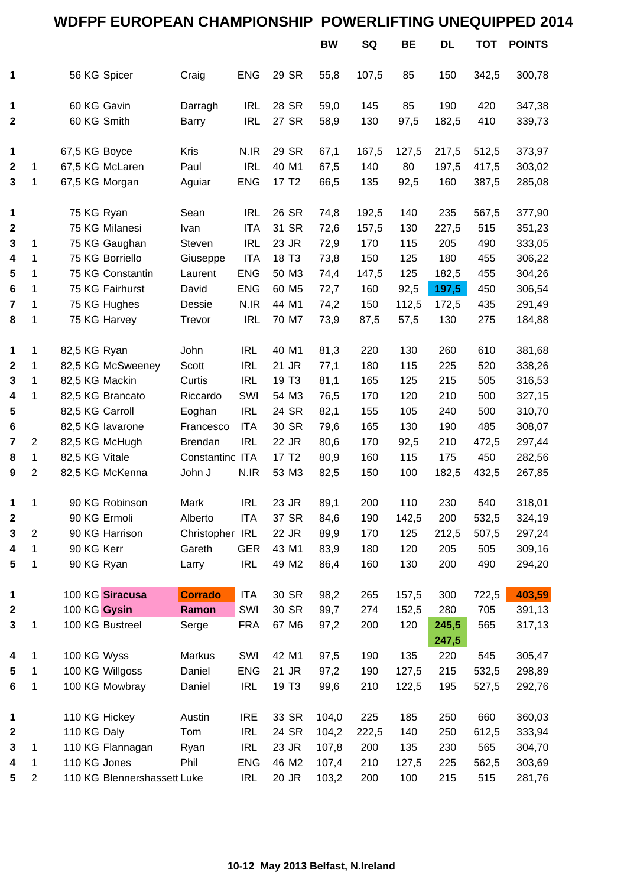|             |                |                          |                                |                 |                          |                   | <b>WDFPF EUROPEAN CHAMPIONSHIP POWERLIFTING UNEQUIPPED 2014</b> |            |            |                |              |                  |  |
|-------------|----------------|--------------------------|--------------------------------|-----------------|--------------------------|-------------------|-----------------------------------------------------------------|------------|------------|----------------|--------------|------------------|--|
|             |                |                          |                                |                 |                          |                   | <b>BW</b>                                                       | SQ         | <b>BE</b>  | <b>DL</b>      | <b>TOT</b>   | <b>POINTS</b>    |  |
| 1           |                |                          | 56 KG Spicer                   | Craig           | <b>ENG</b>               | 29 SR             | 55,8                                                            | 107,5      | 85         | 150            | 342,5        | 300,78           |  |
| 1           |                | 60 KG Gavin              |                                | Darragh         | <b>IRL</b>               | 28 SR             | 59,0                                                            | 145        | 85         | 190            | 420          | 347,38           |  |
| 2           |                | 60 KG Smith              |                                | <b>Barry</b>    | <b>IRL</b>               | 27 SR             | 58,9                                                            | 130        | 97,5       | 182,5          | 410          | 339,73           |  |
| 1           |                | 67,5 KG Boyce            |                                | Kris            | N.IR                     | 29 SR             | 67,1                                                            | 167,5      | 127,5      | 217,5          | 512,5        | 373,97           |  |
| $\mathbf 2$ | 1              |                          | 67,5 KG McLaren                | Paul            | <b>IRL</b>               | 40 M1             | 67,5                                                            | 140        | 80         | 197,5          | 417,5        | 303,02           |  |
| 3           | 1              | 67,5 KG Morgan           |                                | Aguiar          | <b>ENG</b>               | 17 T <sub>2</sub> | 66,5                                                            | 135        | 92,5       | 160            | 387,5        | 285,08           |  |
|             |                |                          |                                |                 |                          |                   |                                                                 |            |            |                |              |                  |  |
| 1           |                | 75 KG Ryan               |                                | Sean            | <b>IRL</b>               | 26 SR             | 74,8                                                            | 192,5      | 140        | 235            | 567,5        | 377,90           |  |
| 2           |                |                          | 75 KG Milanesi                 | Ivan            | <b>ITA</b>               | 31 SR             | 72,6                                                            | 157,5      | 130        | 227,5          | 515          | 351,23           |  |
| 3           | 1              |                          | 75 KG Gaughan                  | Steven          | <b>IRL</b>               | 23 JR             | 72,9                                                            | 170        | 115        | 205            | 490          | 333,05           |  |
| 4           | 1              |                          | 75 KG Borriello                | Giuseppe        | <b>ITA</b>               | 18 T <sub>3</sub> | 73,8                                                            | 150        | 125        | 180            | 455          | 306,22           |  |
| 5           | 1              |                          | 75 KG Constantin               | Laurent         | <b>ENG</b>               | 50 M3             | 74,4                                                            | 147,5      | 125        | 182,5          | 455          | 304,26           |  |
| 6           | 1              |                          | 75 KG Fairhurst                | David           | <b>ENG</b>               | 60 M <sub>5</sub> | 72,7                                                            | 160        | 92,5       | 197,5          | 450          | 306,54           |  |
| 7           | 1              |                          | 75 KG Hughes                   | Dessie          | N.IR                     | 44 M1             | 74,2                                                            | 150        | 112,5      | 172,5          | 435          | 291,49           |  |
| 8           | 1              |                          | 75 KG Harvey                   | Trevor          | <b>IRL</b>               | 70 M7             | 73,9                                                            | 87,5       | 57,5       | 130            | 275          | 184,88           |  |
| 1           | 1              | 82,5 KG Ryan             |                                | John            | <b>IRL</b>               | 40 M1             | 81,3                                                            | 220        | 130        | 260            | 610          | 381,68           |  |
| $\mathbf 2$ | 1              |                          | 82,5 KG McSweeney              | Scott           | <b>IRL</b>               | 21 JR             | 77,1                                                            | 180        | 115        | 225            | 520          | 338,26           |  |
| 3           | 1              | 82,5 KG Mackin           |                                | Curtis          | <b>IRL</b>               | 19 T <sub>3</sub> | 81,1                                                            | 165        | 125        | 215            | 505          | 316,53           |  |
| 4           | 1              |                          | 82,5 KG Brancato               | Riccardo        | SWI                      | 54 M3             | 76,5                                                            | 170        | 120        | 210            | 500          | 327,15           |  |
| 5           |                | 82,5 KG Carroll          |                                | Eoghan          | <b>IRL</b>               | 24 SR             | 82,1                                                            | 155        | 105        | 240            | 500          | 310,70           |  |
| 6           |                |                          | 82,5 KG lavarone               | Francesco       | <b>ITA</b>               | 30 SR             | 79,6                                                            | 165        | 130        | 190            | 485          | 308,07           |  |
| 7           | 2              |                          | 82,5 KG McHugh                 | <b>Brendan</b>  | <b>IRL</b>               | 22 JR             | 80,6                                                            | 170        | 92,5       | 210            | 472,5        | 297,44           |  |
| 8           | 1              | 82,5 KG Vitale           |                                | Constantinc ITA |                          | 17 T <sub>2</sub> | 80,9                                                            | 160        | 115        | 175            | 450          | 282,56           |  |
| 9           | 2              |                          | 82,5 KG McKenna                | John J          | N.IR                     | 53 M3             | 82,5                                                            | 150        | 100        | 182,5          | 432,5        | 267,85           |  |
|             | 1              |                          |                                |                 |                          |                   |                                                                 |            |            |                |              |                  |  |
| 1           |                |                          | 90 KG Robinson<br>90 KG Ermoli | Mark<br>Alberto | <b>IRL</b><br><b>ITA</b> | 23 JR<br>37 SR    | 89,1                                                            | 200<br>190 | 110        | 230<br>200     | 540<br>532,5 | 318,01           |  |
| 2           |                |                          |                                |                 |                          |                   | 84,6                                                            |            | 142,5      |                |              | 324,19           |  |
| 3           | $\overline{2}$ |                          | 90 KG Harrison                 | Christopher IRL |                          | 22 JR             | 89,9                                                            | 170        | 125        | 212,5          | 507,5        | 297,24           |  |
| 4<br>5      | 1<br>1         | 90 KG Kerr<br>90 KG Ryan |                                | Gareth<br>Larry | <b>GER</b><br><b>IRL</b> | 43 M1<br>49 M2    | 83,9<br>86,4                                                    | 180<br>160 | 120<br>130 | 205<br>200     | 505<br>490   | 309,16<br>294,20 |  |
|             |                |                          |                                |                 |                          |                   |                                                                 |            |            |                |              |                  |  |
| 1           |                |                          | 100 KG Siracusa                | <b>Corrado</b>  | <b>ITA</b>               | 30 SR             | 98,2                                                            | 265        | 157,5      | 300            | 722,5        | 403,59           |  |
| 2           |                | 100 KG Gysin             |                                | Ramon           | SWI                      | 30 SR             | 99,7                                                            | 274        | 152,5      | 280            | 705          | 391,13           |  |
| 3           | 1              |                          | 100 KG Bustreel                | Serge           | <b>FRA</b>               | 67 M6             | 97,2                                                            | 200        | 120        | 245,5<br>247,5 | 565          | 317,13           |  |
| 4           | 1              | 100 KG Wyss              |                                | Markus          | SWI                      | 42 M1             | 97,5                                                            | 190        | 135        | 220            | 545          | 305,47           |  |
| 5           | 1              |                          | 100 KG Willgoss                | Daniel          | <b>ENG</b>               | 21 JR             | 97,2                                                            | 190        | 127,5      | 215            | 532,5        | 298,89           |  |
| 6           | 1              |                          | 100 KG Mowbray                 | Daniel          | <b>IRL</b>               | 19 T <sub>3</sub> | 99,6                                                            | 210        | 122,5      | 195            | 527,5        | 292,76           |  |
| 1           |                | 110 KG Hickey            |                                | Austin          | <b>IRE</b>               | 33 SR             | 104,0                                                           | 225        | 185        | 250            | 660          | 360,03           |  |
| 2           |                | 110 KG Daly              |                                | Tom             | <b>IRL</b>               | 24 SR             | 104,2                                                           | 222,5      | 140        | 250            | 612,5        | 333,94           |  |
| 3           | 1              |                          | 110 KG Flannagan               | Ryan            | <b>IRL</b>               | 23 JR             | 107,8                                                           | 200        | 135        | 230            | 565          | 304,70           |  |
| 4           | 1.             | 110 KG Jones             |                                | Phil            | <b>ENG</b>               | 46 M2             | 107,4                                                           | 210        | 127,5      | 225            | 562,5        | 303,69           |  |
| 5           | $\overline{2}$ |                          | 110 KG Blennershassett Luke    |                 | <b>IRL</b>               | 20 JR             | 103,2                                                           | 200        | 100        | 215            | 515          | 281,76           |  |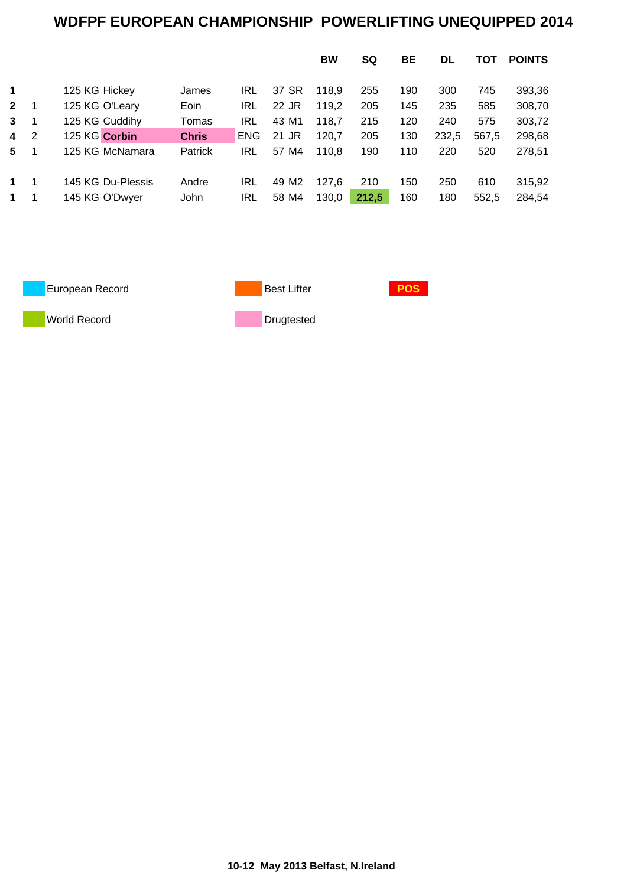## **WDFPF EUROPEAN CHAMPIONSHIP POWERLIFTING UNEQUIPPED 2014**

|             |                   |              |            |                   | BW    | SQ    | BЕ  | DL    | тот   | <b>POINTS</b> |
|-------------|-------------------|--------------|------------|-------------------|-------|-------|-----|-------|-------|---------------|
| 1           | 125 KG Hickey     | James        | IRL        | 37 SR             | 118,9 | 255   | 190 | 300   | 745   | 393,36        |
| $2^{\circ}$ | 125 KG O'Leary    | Eoin         | IRL        | 22 JR             | 119,2 | 205   | 145 | 235   | 585   | 308,70        |
| 3           | 125 KG Cuddihy    | Tomas        | IRL        | 43 M1             | 118,7 | 215   | 120 | 240   | 575   | 303,72        |
| $4 \quad 2$ | 125 KG Corbin     | <b>Chris</b> | <b>ENG</b> | 21 JR             | 120,7 | 205   | 130 | 232,5 | 567,5 | 298,68        |
| 5           | 125 KG McNamara   | Patrick      | IRL        | 57 M4             | 110.8 | 190   | 110 | 220   | 520   | 278,51        |
| $1 -$       | 145 KG Du-Plessis | Andre        | IRL        | 49 M <sub>2</sub> | 127,6 | 210   | 150 | 250   | 610   | 315,92        |
| $1 \quad$   | 145 KG O'Dwyer    | John         | IRL        | 58 M4             | 130,0 | 212,5 | 160 | 180   | 552,5 | 284,54        |



**World Record Drugtested**